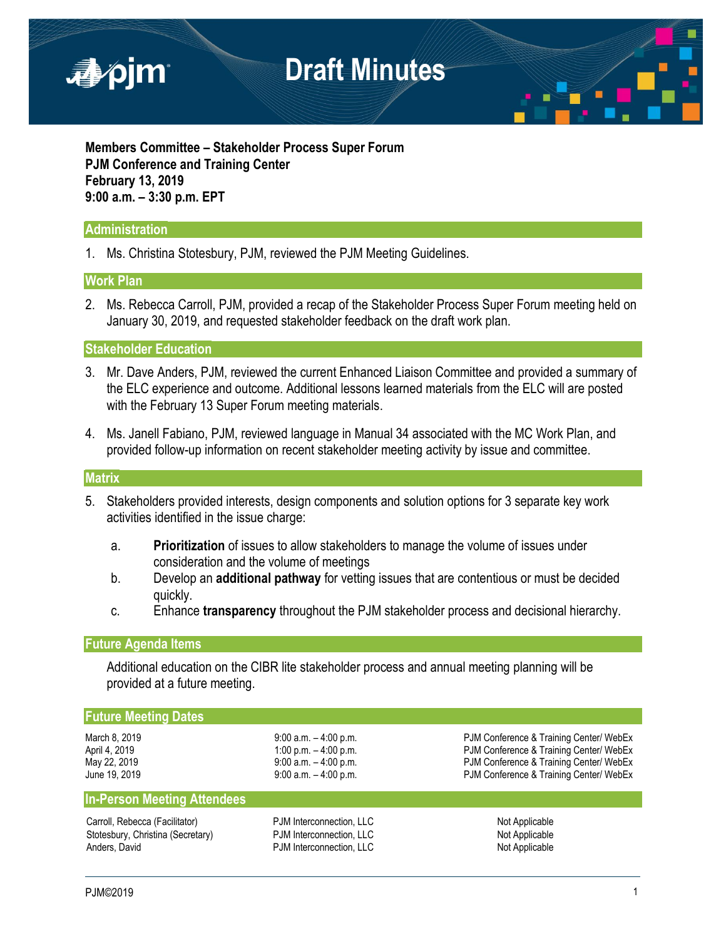

**Members Committee – Stakeholder Process Super Forum PJM Conference and Training Center February 13, 2019 9:00 a.m. – 3:30 p.m. EPT**

## **Administration**

1. Ms. Christina Stotesbury, PJM, reviewed the PJM Meeting Guidelines.

### **Work Plan**

2. Ms. Rebecca Carroll, PJM, provided a recap of the Stakeholder Process Super Forum meeting held on January 30, 2019, and requested stakeholder feedback on the draft work plan.

### **Stakeholder Education**

- 3. Mr. Dave Anders, PJM, reviewed the current Enhanced Liaison Committee and provided a summary of the ELC experience and outcome. Additional lessons learned materials from the ELC will are posted with the February 13 Super Forum meeting materials.
- 4. Ms. Janell Fabiano, PJM, reviewed language in Manual 34 associated with the MC Work Plan, and provided follow-up information on recent stakeholder meeting activity by issue and committee.

#### **Matrix**

- 5. Stakeholders provided interests, design components and solution options for 3 separate key work activities identified in the issue charge:
	- a. **Prioritization** of issues to allow stakeholders to manage the volume of issues under consideration and the volume of meetings
	- b. Develop an **additional pathway** for vetting issues that are contentious or must be decided quickly.
	- c. Enhance **transparency** throughout the PJM stakeholder process and decisional hierarchy.

#### **Future Agenda Items**

Additional education on the CIBR lite stakeholder process and annual meeting planning will be provided at a future meeting.

#### **Future Meeting Dates**

**In-Person Meeting Attendees**

Carroll, Rebecca (Facilitator) **PJM** Interconnection, LLC Not Applicable Stotesbury, Christina (Secretary) **PJM Interconnection, LLC** Not Applicable Anders, David **Anders, David Community Community** PJM Interconnection, LLC **Not Applicable** 

March 8, 2019 **9:00 a.m.** – 4:00 p.m. PJM Conference & Training Center/ WebEx April 4, 2019 1:00 p.m. – 4:00 p.m. – 4:00 p.m.<br>May 22, 2019 1:00 p.m. Page 100 p.m. PJM Conference & Training Center/ WebEx PJM Conference & Training Center/ WebEx June 19, 2019 **19:00 a.m.** – 4:00 p.m. **PJM Conference & Training Center/ WebEx**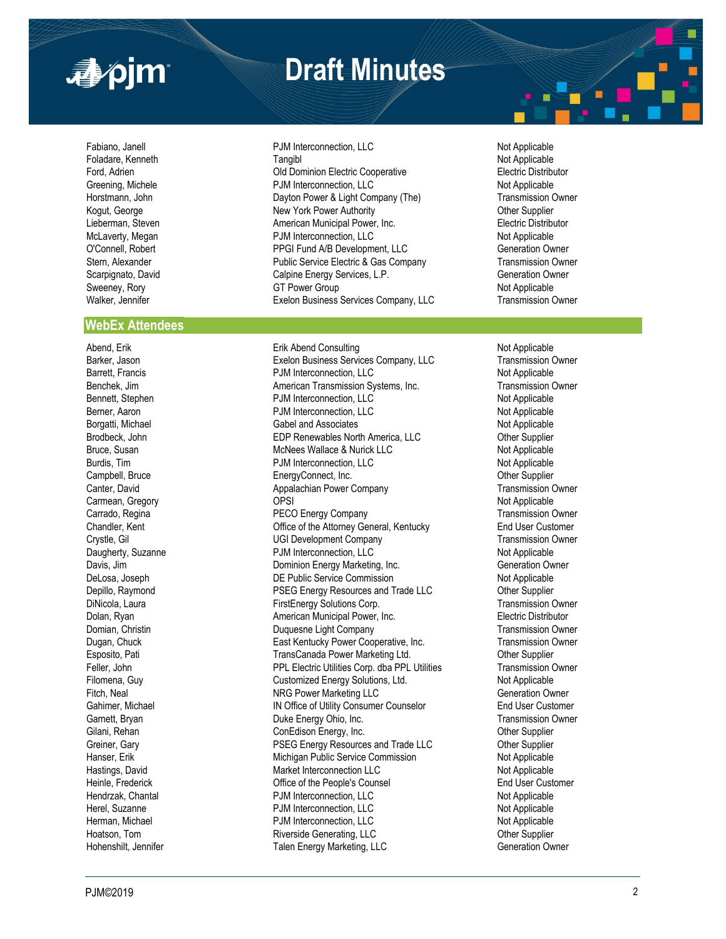

# **Draft Minutes**

#### **WebEx Attendees**

Borgatti, Michael

Fabiano, Janell **PJM Interconnection, LLC** Not Applicable Foladare, Kenneth **Tangibl** Not Applicable Not Applicable Not Applicable Not Applicable Ford, Adrien **Electric Distributor** Old Dominion Electric Cooperative **Electric Distributor** Greening, Michele **Not Applicable** PJM Interconnection, LLC Not Applicable Not Applicable Horstmann, John **Dayton Power & Light Company (The)** Transmission Owner Company of the Strange Transmission Owner Kogut, George **New York Power Authority**<br>Character Communicipal Power, Inc. New York Power Character Communicipal Power, Inc. New York Prefectic Distrib American Municipal Power, Inc. **Electric Distributor** Electric Distributor McLaverty, Megan **Not Applicable** PJM Interconnection, LLC Not Applicable O'Connell, Robert PPGI Fund A/B Development, LLC Generation Owner Stern, Alexander **Public Service Electric & Gas Company** Transmission Owner Scarpignato, David **Calpine Energy Services, L.P.** Generation Owner Sweeney, Rory **GT Power Group** GT Power Group Not Applicable Walker, Jennifer **Exelon Business Services Company, LLC** Transmission Owner

Abend, Erik Abend Consulting Not Applicable Not Applicable Not Applicable Barker, Jason **Exelon Business Services Company, LLC** Transmission Owner Barrett, Francis **Example 20 Transfer Account 12 Transfer Account 2** Not Applicable Benchek, Jim **American Transmission Systems, Inc.** Transmission Owner Bennett, Stephen **Bennett, Stephen** PJM Interconnection, LLC Not Applicable Berner, Aaron Not Applicable Berner, Aaron Not Applicable PJM Interconnection, LLC<br>
Gabel and Associates<br>
Gabel and Associates Brodbeck, John **EDP Renewables North America, LLC** Other Supplier Bruce, Susan **McNees Wallace & Nurick LLC** Not Applicable Burdis, Tim **Example 2018** PJM Interconnection, LLC Not Applicable Campbell, Bruce **EnergyConnect, Inc.** Campbell, Bruce **Campbell**, Bruce **Campbell**, Bruce **Campbell**, Bruce **Campbell**, Bruce **Campbell**, Bruce **Campbell**, Bruce **Campbell**, Bruce **Campbell**, Bruce **Campbell**, Bruce **Campb** Canter, David **Appalachian Power Company Appalachian Power Company** Transmission Owner Carmean, Gregory **Carmean, Cregory** Company **OPSI** OPSI **Not Applicable** Carrado, Regina **PECO Energy Company PECO Energy Company PECO Energy Company PECO Energy Company PECO Energy Company PECO Energy Company PECO Energy Company PECO Energy Company** Chandler, Kent Office of the Attorney General, Kentucky End User Customer Crystle, Gil UGI Development Company Transmission Owner Daugherty, Suzanne **Not Applicable** PJM Interconnection, LLC Not Applicable Davis, Jim **Davis, Jim Communist Communist Communist Communist Communist Communist Communist Communist Communist Communist Communist Communist Communist Communist Communist Communist Communist Communist Communist Communist** DeLosa, Joseph **DE Public Service Commission** Not Applicable Depillo, Raymond **PSEG Energy Resources and Trade LLC Communisty Communisty** Other Supplier DiNicola, Laura FirstEnergy Solutions Corp. Transmission Owner Dolan, Ryan **American Municipal Power, Inc. Electric Distributor Electric Distributor** Domian, Christin Duquesne Light Company Transmission Owner Dugan, Chuck **East Kentucky Power Cooperative, Inc.** Transmission Owner Esposito, Pati TransCanada Power Marketing Ltd. Other Supplier Feller, John **PPL Electric Utilities Corp.** dba PPL Utilities **Transmission Owner** Filomena, Guy Customized Energy Solutions, Ltd. Not Applicable Fitch, Neal **NRG Power Marketing LLC** Generation Owner Gahimer, Michael **IN Office of Utility Consumer Counselor** End User Customer Garnett, Bryan **Example 20** Transmission Owner Duke Energy Ohio, Inc. Transmission Owner Gilani, Rehan ConEdison Energy, Inc. ConEdison Energy, Inc. ConEdison Energy, Inc. Greiner, Gary **PSEG Energy Resources and Trade LLC** Other Supplier Hanser, Erik Michigan Public Service Commission<br>Hastings, David Not Applicable Market Interconnection LLC Hastings, David Market Interconnection LLC Heinle, Frederick **Communist Communist Communist Communist Communist Communist Communist Communist Communist Communist Communist Communist Communist Communist Communist Communist Communist Communist Communist Communist Com** Hendrzak, Chantal PJM Interconnection, LLC Not Applicable PJM Interconnection, LLC Herman, Michael **Not Applicable**<br>
Hoatson, Tom **Not Applicable**<br>
Hoatson, Tom **Not Applicable**<br> **PJM Interconnection, LLC** Not Applicable Hoatson, Tom Cher Supplier Riverside Generating, LLC Hohenshilt, Jennifer Talen Energy Marketing, LLC Generation Owner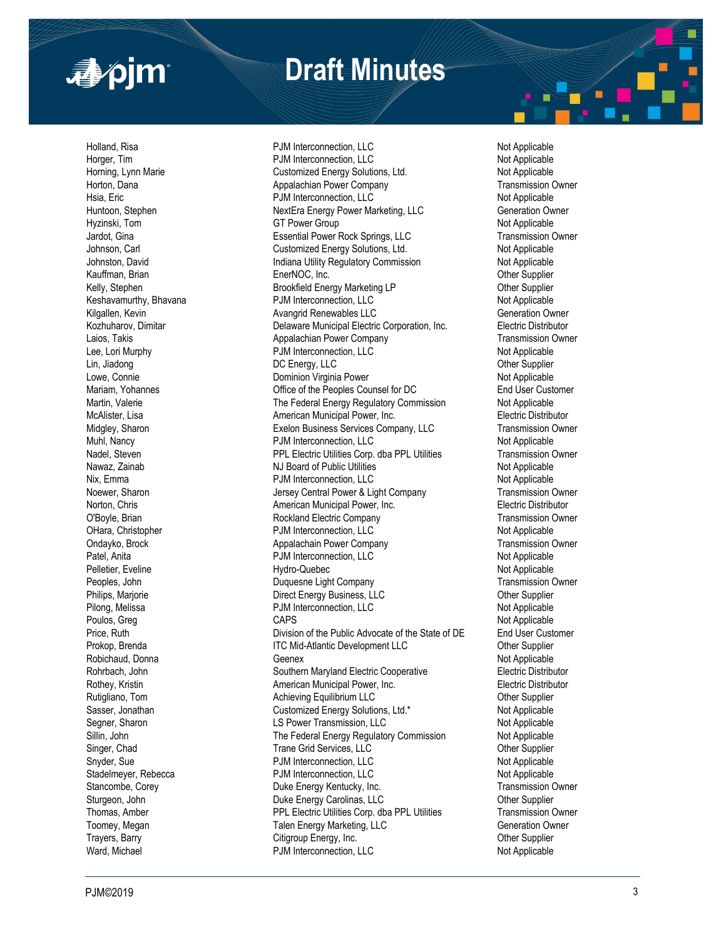

# **Draft Minutes**

Pelletier, Eveline **Hydro-Quebec** Prokop, Brenda

Holland, Risa PJM Interconnection, LLC Not Applicable PJM Interconnection, LLC Not Applicable Horning, Lynn Marie **Network Customized Energy Solutions, Ltd.** Not Applicable Horton, Dana Appalachian Power Company Transmission Owner Hsia, Eric **Not Applicable** PJM Interconnection, LLC Not Applicable Not Applicable Huntoon, Stephen **NextEra Energy Power Marketing, LLC** Generation Owner Hyzinski, Tom **GT Power Group** GT Power Group Not Applicable Jardot, Gina Essential Power Rock Springs, LLC Transmission Owner Johnson, Carl Customized Energy Solutions, Ltd. Not Applicable Johnston, David **Indiana Utility Regulatory Commission** Not Applicable Kauffman, Brian **EnerNOC, Inc.** Change EnerNOC, Inc. **EnerNOC, Inc.** Change Energy Communication Communication Communication Communication Communication Communication Communication Communication Communication Communication Kelly, Stephen **Brookfield Energy Marketing LP** Cther Supplier Keshavamurthy, Bhavana PJM Interconnection, LLC Not Applicable Kilgallen, Kevin **Avangrid Renewables LLC** Kozhuharov, Dimitar **Network Collation Communicipal Electric Corporation**, Inc. **Electric Distributor** Laios, Takis **Appalachian Power Company** Transmission Owner Lee, Lori Murphy<br>
Lee, Lori Murphy **Transmission Owner Company** PJM Interconnection, LLC **The Company Company Company Company** Not Applicable PJM Interconnection, LLC Lin, Jiadong **DC Energy, LLC DE Energy, LLC CHO COMEXAGAGGIOUS** Other Supplier Lowe, Connie **Not Applicable Connect Connect Connect Connect Connect Connect Connect Connect Connect Connect Connect Connect Connect Connect Connect Connect Connect Connect Connect Connect Connect Connect Connect Connect** Mariam, Yohannes Office of the Peoples Counsel for DC End User Customer Martin, Valerie **The Federal Energy Regulatory Commission** Not Applicable McAlister, Lisa **American Municipal Power, Inc.** Electric Distributor **Contracts** Electric Distributor Midgley, Sharon **Exelon Business Services Company, LLC** Transmission Owner Muhl, Nancy **Not Applicable** PJM Interconnection, LLC Not Applicable Nadel, Steven PPL Electric Utilities Corp. dba PPL Utilities Transmission Owner Nawaz, Zainab **NGC 1988** NJ Board of Public Utilities Not Applicable Not Applicable Nix. Emma **Example 2018** PJM Interconnection, LLC Not Applicable Noewer, Sharon **Notal Company** Jersey Central Power & Light Company Transmission Owner<br>Norton Chris **Transmission Company American Municipal Power**. Inc. **The Company Company Company Company** Norton, Chris **American Municipal Power, Inc.** C'Boyle, Brian Municipal Power, Inc. C'Boyle, Brian Rockland Electric Company Transmission Owner OHara, Christopher PJM Interconnection, LLC Not Applicable Ondayko, Brock **Appalachain Power Company** Transmission Order Company Transmission Owner Company Patel, Anita **PJM Interconnection, LLC** Not Applicable Not Applicable Peoples, John **Duquesne Light Company Transmission Owner** Company **Transmission Owner** Philips, Marjorie **Direct Energy Business, LLC Direct Energy Business**, LLC Pilong, Melissa **PJM Interconnection, LLC** Not Applicable Poulos, Greg CAPS Not Applicable Division of the Public Advocate of the State of DE ITC Mid-Atlantic Development LLC **Canadia** Other Supplier Robichaud, Donna **Geenex** Geenex Geenex<br>
Rohrbach, John **Geenex** Southern Maryland Electric Cooperative **Not Applicable** Electric Distributor Southern Maryland Electric Cooperative Rothey, Kristin **American Municipal Power, Inc.** Electric Distributor **Contract Power**, Inc. Rutigliano, Tom **Achieving Equilibrium LLC** Character Communication Character Communication Character Communication Sasser, Jonathan **Customized Energy Solutions, Ltd.\*** Not Applicable Segner, Sharon **Example 2** Compared Transmission, LLC Not Applicable Not Applicable Sillin, John **The Federal Energy Regulatory Commission** Not Applicable Singer, Chad **Trane Grid Services, LLC** Changer, Character Supplier Snyder, Sue **Not Applicable** PJM Interconnection, LLC Not Applicable Not Applicable Stadelmeyer, Rebecca **PJM Interconnection, LLC** Not Applicable Stancombe, Corey Duke Energy Kentucky, Inc. Transmission Owner Sturgeon, John **Duke Energy Carolinas, LLC Character Supplier** Cother Supplier Thomas, Amber PPL Electric Utilities Corp. dba PPL Utilities Transmission Owner Toomey, Megan Talen Energy Marketing, LLC Generation Owner Trayers, Barry **Citigroup Energy, Inc.** Citigroup Energy, Inc. **Communist Communist Communist Communist Communist Communist Communist Communist Communist Communist Communist Communist Communist Communist Communist Communis** Ward, Michael **PJM Interconnection, LLC** Not Applicable

Not Applicable